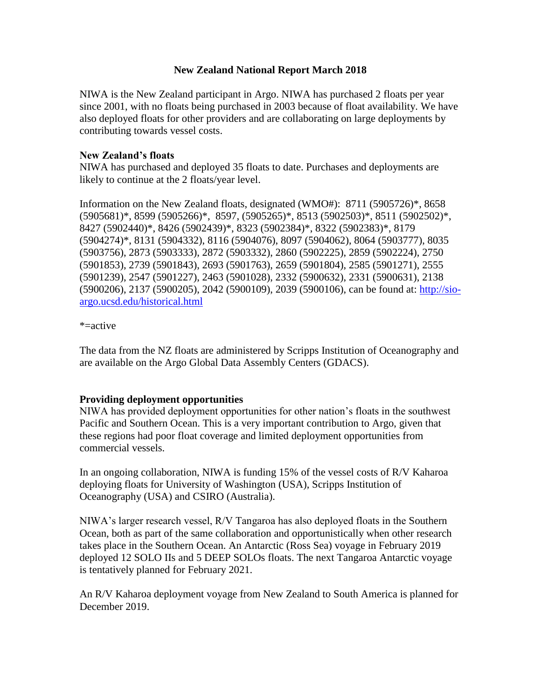#### **New Zealand National Report March 2018**

NIWA is the New Zealand participant in Argo. NIWA has purchased 2 floats per year since 2001, with no floats being purchased in 2003 because of float availability. We have also deployed floats for other providers and are collaborating on large deployments by contributing towards vessel costs.

### **New Zealand's floats**

NIWA has purchased and deployed 35 floats to date. Purchases and deployments are likely to continue at the 2 floats/year level.

Information on the New Zealand floats, designated (WMO#): 8711 (5905726)\*, 8658 (5905681)\*, 8599 (5905266)\*, 8597, (5905265)\*, 8513 (5902503)\*, 8511 (5902502)\*, 8427 (5902440)\*, 8426 (5902439)\*, 8323 (5902384)\*, 8322 (5902383)\*, 8179 (5904274)\*, 8131 (5904332), 8116 (5904076), 8097 (5904062), 8064 (5903777), 8035 (5903756), 2873 (5903333), 2872 (5903332), 2860 (5902225), 2859 (5902224), 2750 (5901853), 2739 (5901843), 2693 (5901763), 2659 (5901804), 2585 (5901271), 2555 (5901239), 2547 (5901227), 2463 (5901028), 2332 (5900632), 2331 (5900631), 2138 (5900206), 2137 (5900205), 2042 (5900109), 2039 (5900106), can be found at: [http://sio](http://sio-argo.ucsd.edu/historical.html)[argo.ucsd.edu/historical.html](http://sio-argo.ucsd.edu/historical.html)

#### \*=active

The data from the NZ floats are administered by Scripps Institution of Oceanography and are available on the Argo Global Data Assembly Centers (GDACS).

## **Providing deployment opportunities**

NIWA has provided deployment opportunities for other nation's floats in the southwest Pacific and Southern Ocean. This is a very important contribution to Argo, given that these regions had poor float coverage and limited deployment opportunities from commercial vessels.

In an ongoing collaboration, NIWA is funding 15% of the vessel costs of R/V Kaharoa deploying floats for University of Washington (USA), Scripps Institution of Oceanography (USA) and CSIRO (Australia).

NIWA's larger research vessel, R/V Tangaroa has also deployed floats in the Southern Ocean, both as part of the same collaboration and opportunistically when other research takes place in the Southern Ocean. An Antarctic (Ross Sea) voyage in February 2019 deployed 12 SOLO IIs and 5 DEEP SOLOs floats. The next Tangaroa Antarctic voyage is tentatively planned for February 2021.

An R/V Kaharoa deployment voyage from New Zealand to South America is planned for December 2019.